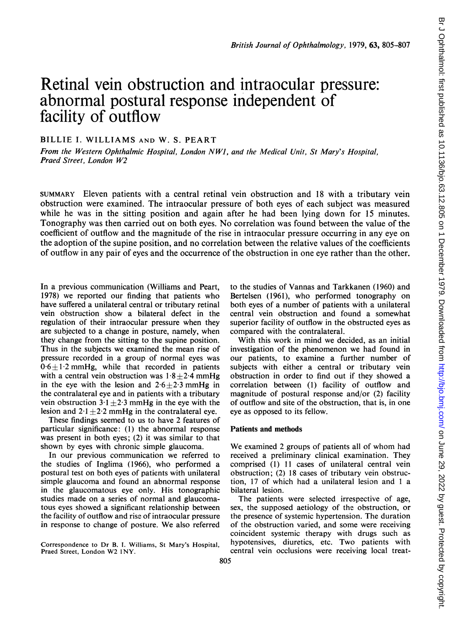# Retinal vein obstruction and intraocular pressure: abnormal postural response independent of facility of outflow

# BILLIE I. WILLIAMS AND W. S. PEART

From the Western Ophthalmic Hospital, London NWJ, and the Medical Unit, St Mary's Hospital, Praed Street, London W2

SUMMARY Eleven patients with a central retinal vein obstruction and 18 with a tributary vein obstruction were examined. The intraocular pressure of both eyes of each subject was measured while he was in the sitting position and again after he had been lying down for 15 minutes. Tonography was then carried out on both eyes. No correlation was found between the value of the coefficient of outflow and the magnitude of the rise in intraocular pressure occurring in any eye on the adoption of the supine position, and no correlation between the relative values of the coefficients of outflow in any pair of eyes and the occurrence of the obstruction in one eye rather than the other.

In a previous communication (Williams and Peart, 1978) we reported our finding that patients who have suffered a unilateral central or tributary retinal vein obstruction show a bilateral defect in the regulation of their intraocular pressure when they are subjected to a change in posture, namely, when they change from the sitting to the supine position. Thus in the subjects we examined the mean rise of pressure recorded in a group of normal eyes was  $0.6 \pm 1.2$  mmHg, while that recorded in patients with a central vein obstruction was  $1.8+2.4$  mmHg in the eye with the lesion and  $2.6 \pm 2.3$  mmHg in the contralateral eye and in patients with a tributary vein obstruction  $3.1 \pm 2.3$  mmHg in the eye with the lesion and  $2.1 \pm 2.2$  mmHg in the contralateral eye.

These findings seemed to us to have 2 features of particular significance: (1) the abnormal response was present in both eyes; (2) it was similar to that shown by eyes with chronic simple glaucoma.

In our previous communication we referred to the studies of Inglima (1966), who performed a postural test on both eyes of patients with unilateral simple glaucoma and found an abnormal response in the glaucomatous eye only. His tonographic studies made on a series of normal and glaucomatous eyes showed a significant relationship between the facility of outflow and rise of intraocular pressure in response to change of posture. We also referred

Correspondence to Dr B. 1. Williams, St Mary's Hospital, Praed Street, London W2 INY.

to the studies of Vannas and Tarkkanen (1960) and Bertelsen (1961), who performed tonography on both eyes of a number of patients with a unilateral central vein obstruction and found a somewhat superior facility of outflow in the obstructed eyes as compared with the contralateral.

With this work in mind we decided, as an initial investigation of the phenomenon we had found in our patients, to examine a further number of subjects with either a central or tributary vein obstruction in order to find out if they showed a correlation between (1) facility of outflow and magnitude of postural response and/or (2) facility of outflow and site of the obstruction, that is, in one eye as opposed to its fellow.

#### Patients and methods

We examined <sup>2</sup> groups of patients all of whom had received a preliminary clinical examination. They comprised (1) 11 cases of unilateral central vein obstruction; (2) 18 cases of tributary vein obstruction, 17 of which had a unilateral lesion and <sup>1</sup> a bilateral lesion.

The patients were selected irrespective of age, sex, the supposed aetiology of the obstruction, or the presence of systemic hypertension. The duration of the obstruction varied, and some were receiving coincident systemic therapy with drugs such as hypotensives, diuretics, etc. Two patients with central vein occlusions were receiving local treat-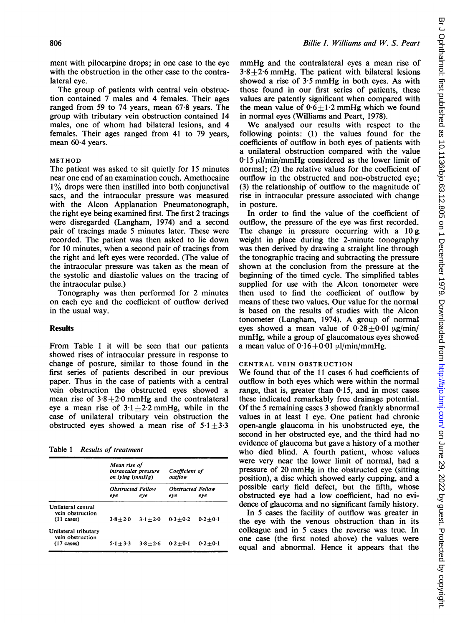ment with pilocarpine drops; in one case to the eye with the obstruction in the other case to the contralateral eye.

The group of patients with central vein obstruction contained 7 males and 4 females. Their ages ranged from 59 to 74 years, mean 67-8 years. The group with tributary vein obstruction contained 14 males, one of whom had bilateral lesions, and 4 females. Their ages ranged from 41 to 79 years, mean 60.4 years.

#### METHOD

The patient was asked to sit quietly for 15 minutes near one end of an examination couch. Amethocaine 1% drops were then instilled into both conjunctival sacs, and the intraocular pressure was measured with the Alcon Applanation Pneumatonograph, the right eye being examined first. The first 2 tracings were disregarded (Langham, 1974) and a second pair of tracings made 5 minutes later. These were recorded. The patient was then asked to lie down for 10 minutes, when a second pair of tracings from the right and left eyes were recorded. (The value of the intraocular pressure was taken as the mean of the systolic and diastolic values on the tracing of the intraocular pulse.)

Tonography was then performed for 2 minutes on each eye and the coefficient of outflow derived in the usual way.

## Results

From Table <sup>1</sup> it will be seen that our patients showed rises of intraocular pressure in response to change of posture, similar to those found in the first series of patients described in our previous paper. Thus in the case of patients with a central vein obstruction the obstructed eyes showed a mean rise of  $3.8 \pm 2.0$  mmHg and the contralateral eye a mean rise of  $3.1 \pm 2.2$  mmHg, while in the case of unilateral tributary vein obstruction the obstructed eyes showed a mean rise of  $5.1 \pm 3.3$ 

| Table 1 |  |  |  | <b>Results of treatment</b> |
|---------|--|--|--|-----------------------------|
|---------|--|--|--|-----------------------------|

|                                                                  | Mean rise of<br>intraocular pressure<br>on lying (mmHg) |             | Coefficient of<br>outflow       |             |
|------------------------------------------------------------------|---------------------------------------------------------|-------------|---------------------------------|-------------|
|                                                                  | <b>Obstructed Fellow</b><br>eve                         | eve         | <b>Obstructed Fellow</b><br>eve | eve         |
| Unilateral central<br>vein obstruction<br>$(11 \text{ cases})$   | $3.8 + 2.0$                                             | $3 + 20$    | $0.3 + 0.2$                     | $0.2 + 0.1$ |
| Unilateral tributary<br>vein obstruction<br>$(17 \text{ cases})$ | $5.1 + 3.3$                                             | $3.8 + 2.6$ | $0.2 + 0.1$                     | $0.2 + 0.1$ |

mmHg and the contralateral eyes <sup>a</sup> mean rise of  $3.8 \pm 2.6$  mmHg. The patient with bilateral lesions showed <sup>a</sup> rise of 3.5 mmHg in both eyes. As with those found in our first series of patients, these values are patently significant when compared with the mean value of  $0.6 \pm 1.2$  mmHg which we found in normal eyes (Williams and Peart, 1978).

We analysed our results with respect to the following points: (1) the values found for the coefficients of outflow in both eyes of patients with a unilateral obstruction compared with the value  $0.15 \mu$ l/min/mmHg considered as the lower limit of normal; (2) the relative values for the coefficient of outflow in the obstructed and non-obstructed eye; (3) the relationship of outflow to the magnitude of rise in intraocular pressure associated with change in posture.

In order to find the value of the coefficient of outflow, the pressure of the eye was first recorded. The change in pressure occurring with a  $10 g$ weight in place during the 2-minute tonography was then derived by drawing a straight line through the tonographic tracing and subtracting the pressure shown at the conclusion from the pressure at the beginning of the timed cycle. The simplified tables supplied for use with the Alcon tonometer were then used to find the coefficient of outflow by means of these two values. Our value for the normal is based on the results of studies with the Alcon tonometer (Langham, 1974). A group of normal eyes showed a mean value of  $0.28 \pm 0.01 \mu$ g/min/ mmHg, while a group of glaucomatous eyes showed a mean value of  $0.16 \pm 0.01 \mu l/min/mm$  Hg.

### CENTRAL VEIN OBSTRUCTION

We found that of the <sup>11</sup> cases <sup>6</sup> had coefficients of outflow in both eyes which were within the normal range, that is, greater than  $0.15$ , and in most cases these indicated remarkably free drainage potential. Of the 5 remaining cases <sup>3</sup> showed frankly abnormal values in at least <sup>1</sup> eye. One patient had chronic open-angle glaucoma in his unobstructed eye, the second in her obstructed eye, and the third had no evidence of glaucoma but gave a history of a mother who died blind. A fourth patient, whose values were very near the lower limit of normal, had a pressure of <sup>20</sup> mmHg in the obstructed eye (sitting position), a disc which showed early cupping, and a possible early field defect, but the fifth, whose obstructed eye had a low coefficient, had no evidence of glaucoma and no significant family history.

In 5 cases the facility of outflow was greater in the eye with the venous obstruction than in its colleague and in 5 cases the reverse was true. In one case (the first noted above) the values were equal and abnormal. Hence it appears that the